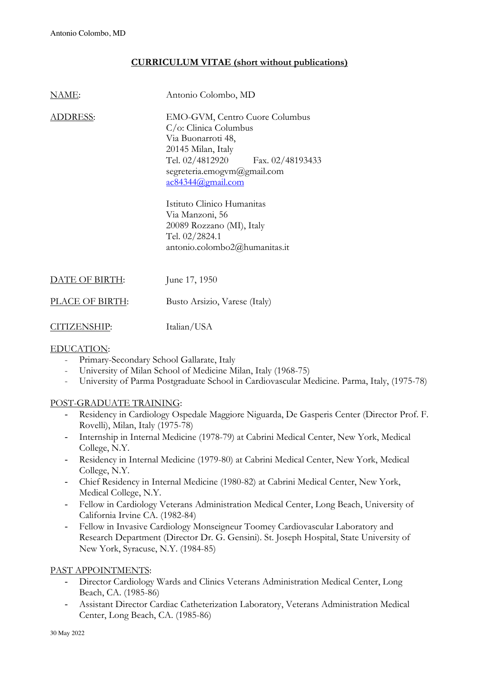# **CURRICULUM VITAE (short without publications)**

| NAME:          | Antonio Colombo, MD                                                                                                                                                                                     |
|----------------|---------------------------------------------------------------------------------------------------------------------------------------------------------------------------------------------------------|
| ADDRESS:       | EMO-GVM, Centro Cuore Columbus<br>$C/\mathrm{o}$ : Clinica Columbus<br>Via Buonarroti 48,<br>20145 Milan, Italy<br>Tel. 02/4812920 Fax. 02/48193433<br>segreteria.emogvm@gmail.com<br>ac84344@gmail.com |
|                | Istituto Clinico Humanitas<br>Via Manzoni, 56<br>20089 Rozzano (MI), Italy<br>Tel. 02/2824.1<br>antonio.colombo2@humanitas.it                                                                           |
| DATE OF BIRTH: | June 17, 1950                                                                                                                                                                                           |
| ACE OF BIRTH:  | Busto Arsizio, Varese (Italy)                                                                                                                                                                           |

CITIZENSHIP: Italian/USA

### EDUCATION:

- Primary-Secondary School Gallarate, Italy
- University of Milan School of Medicine Milan, Italy (1968-75)
- University of Parma Postgraduate School in Cardiovascular Medicine. Parma, Italy, (1975-78)

### POST-GRADUATE TRAINING:

- Residency in Cardiology Ospedale Maggiore Niguarda, De Gasperis Center (Director Prof. F. Rovelli), Milan, Italy (1975-78)
- Internship in Internal Medicine (1978-79) at Cabrini Medical Center, New York, Medical College, N.Y.
- Residency in Internal Medicine (1979-80) at Cabrini Medical Center, New York, Medical College, N.Y.
- Chief Residency in Internal Medicine (1980-82) at Cabrini Medical Center, New York, Medical College, N.Y.
- Fellow in Cardiology Veterans Administration Medical Center, Long Beach, University of California Irvine CA. (1982-84)
- Fellow in Invasive Cardiology Monseigneur Toomey Cardiovascular Laboratory and Research Department (Director Dr. G. Gensini). St. Joseph Hospital, State University of New York, Syracuse, N.Y. (1984-85)

### PAST APPOINTMENTS:

- Director Cardiology Wards and Clinics Veterans Administration Medical Center, Long Beach, CA. (1985-86)
- Assistant Director Cardiac Catheterization Laboratory, Veterans Administration Medical Center, Long Beach, CA. (1985-86)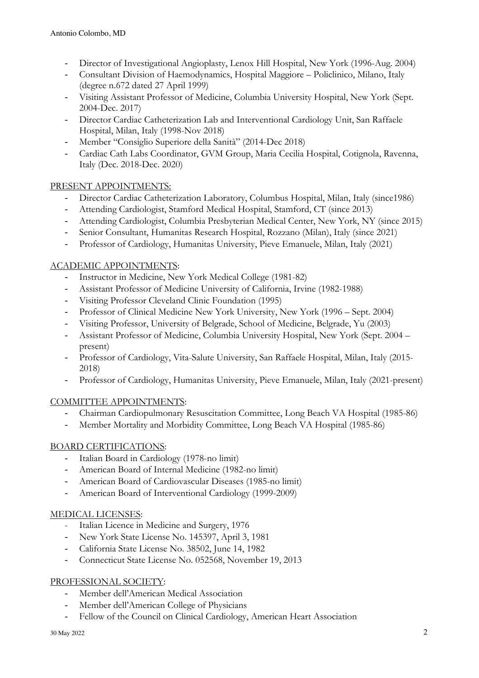- Director of Investigational Angioplasty, Lenox Hill Hospital, New York (1996-Aug. 2004)
- Consultant Division of Haemodynamics, Hospital Maggiore Policlinico, Milano, Italy (degree n.672 dated 27 April 1999)
- Visiting Assistant Professor of Medicine, Columbia University Hospital, New York (Sept. 2004-Dec. 2017)
- Director Cardiac Catheterization Lab and Interventional Cardiology Unit, San Raffaele Hospital, Milan, Italy (1998-Nov 2018)
- Member "Consiglio Superiore della Sanità" (2014-Dec 2018)
- Cardiac Cath Labs Coordinator, GVM Group, Maria Cecilia Hospital, Cotignola, Ravenna, Italy (Dec. 2018-Dec. 2020)

## PRESENT APPOINTMENTS:

- Director Cardiac Catheterization Laboratory, Columbus Hospital, Milan, Italy (since1986)
- Attending Cardiologist, Stamford Medical Hospital, Stamford, CT (since 2013)
- Attending Cardiologist, Columbia Presbyterian Medical Center, New York, NY (since 2015)
- Senior Consultant, Humanitas Research Hospital, Rozzano (Milan), Italy (since 2021)
- Professor of Cardiology, Humanitas University, Pieve Emanuele, Milan, Italy (2021)

## ACADEMIC APPOINTMENTS:

- Instructor in Medicine, New York Medical College (1981-82)
- Assistant Professor of Medicine University of California, Irvine (1982-1988)
- Visiting Professor Cleveland Clinic Foundation (1995)
- Professor of Clinical Medicine New York University, New York (1996 Sept. 2004)
- Visiting Professor, University of Belgrade, School of Medicine, Belgrade, Yu (2003)
- Assistant Professor of Medicine, Columbia University Hospital, New York (Sept. 2004 present)
- Professor of Cardiology, Vita-Salute University, San Raffaele Hospital, Milan, Italy (2015- 2018)
- Professor of Cardiology, Humanitas University, Pieve Emanuele, Milan, Italy (2021-present)

### COMMITTEE APPOINTMENTS:

- Chairman Cardiopulmonary Resuscitation Committee, Long Beach VA Hospital (1985-86)
- Member Mortality and Morbidity Committee, Long Beach VA Hospital (1985-86)

# BOARD CERTIFICATIONS:

- Italian Board in Cardiology (1978-no limit)
- American Board of Internal Medicine (1982-no limit)
- American Board of Cardiovascular Diseases (1985-no limit)
- American Board of Interventional Cardiology (1999-2009)

### MEDICAL LICENSES:

- Italian Licence in Medicine and Surgery, 1976
- New York State License No. 145397, April 3, 1981
- California State License No. 38502, June 14, 1982
- Connecticut State License No. 052568, November 19, 2013

### PROFESSIONAL SOCIETY:

- Member dell'American Medical Association
- Member dell'American College of Physicians
- Fellow of the Council on Clinical Cardiology, American Heart Association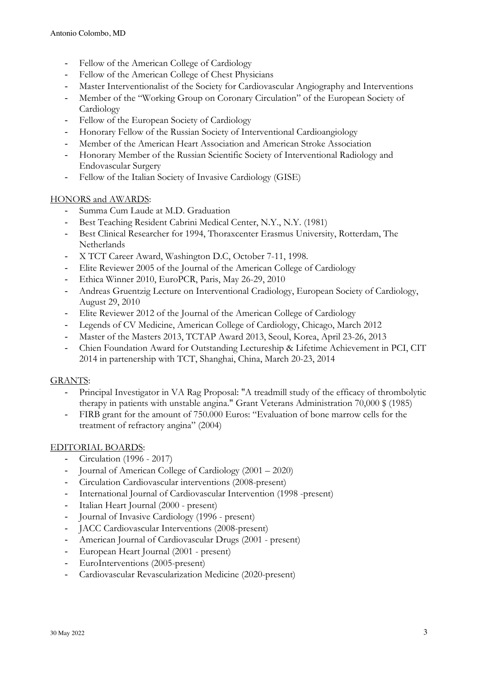- Fellow of the American College of Cardiology
- Fellow of the American College of Chest Physicians
- Master Interventionalist of the Society for Cardiovascular Angiography and Interventions
- Member of the "Working Group on Coronary Circulation" of the European Society of Cardiology
- Fellow of the European Society of Cardiology
- Honorary Fellow of the Russian Society of Interventional Cardioangiology
- Member of the American Heart Association and American Stroke Association
- Honorary Member of the Russian Scientific Society of Interventional Radiology and Endovascular Surgery
- Fellow of the Italian Society of Invasive Cardiology (GISE)

### HONORS and AWARDS:

- Summa Cum Laude at M.D. Graduation
- Best Teaching Resident Cabrini Medical Center, N.Y., N.Y. (1981)
- Best Clinical Researcher for 1994, Thoraxcenter Erasmus University, Rotterdam, The **Netherlands**
- X TCT Career Award, Washington D.C, October 7-11, 1998.
- Elite Reviewer 2005 of the Journal of the American College of Cardiology
- Ethica Winner 2010, EuroPCR, Paris, May 26-29, 2010
- Andreas Gruentzig Lecture on Interventional Cradiology, European Society of Cardiology, August 29, 2010
- Elite Reviewer 2012 of the Journal of the American College of Cardiology
- Legends of CV Medicine, American College of Cardiology, Chicago, March 2012
- Master of the Masters 2013, TCTAP Award 2013, Seoul, Korea, April 23-26, 2013
- Chien Foundation Award for Outstanding Lectureship & Lifetime Achievement in PCI, CIT 2014 in partenership with TCT, Shanghai, China, March 20-23, 2014

### GRANTS:

- Principal Investigator in VA Rag Proposal: "A treadmill study of the efficacy of thrombolytic therapy in patients with unstable angina." Grant Veterans Administration 70,000 \$ (1985)
- FIRB grant for the amount of 750.000 Euros: "Evaluation of bone marrow cells for the treatment of refractory angina" (2004)

### EDITORIAL BOARDS:

- Circulation (1996 2017)
- Journal of American College of Cardiology (2001 2020)
- Circulation Cardiovascular interventions (2008-present)
- International Journal of Cardiovascular Intervention (1998 -present)
- Italian Heart Journal (2000 present)
- Journal of Invasive Cardiology (1996 present)
- JACC Cardiovascular Interventions (2008-present)
- American Journal of Cardiovascular Drugs (2001 present)
- European Heart Journal (2001 present)
- EuroInterventions (2005-present)
- Cardiovascular Revascularization Medicine (2020-present)